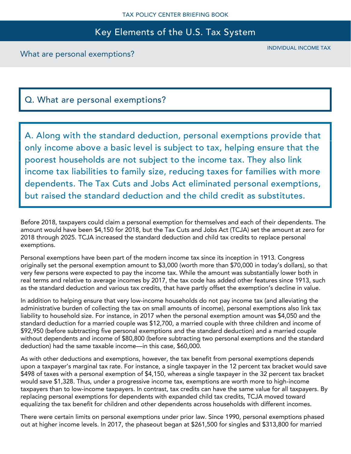# Key Elements of the U.S. Tax System

What are personal exemptions?

INDIVIDUAL INCOME TAX

# Q. What are personal exemptions?

A. Along with the standard deduction, personal exemptions provide that only income above a basic level is subject to tax, helping ensure that the poorest households are not subject to the income tax. They also link income tax liabilities to family size, reducing taxes for families with more dependents. The Tax Cuts and Jobs Act eliminated personal exemptions, but raised the standard deduction and the child credit as substitutes.

Before 2018, taxpayers could claim a personal exemption for themselves and each of their dependents. The amount would have been \$4,150 for 2018, but the Tax Cuts and Jobs Act (TCJA) set the amount at zero for 2018 through 2025. TCJA increased the standard deduction and child tax credits to replace personal exemptions.

Personal exemptions have been part of the modern income tax since its inception in 1913. Congress originally set the personal exemption amount to \$3,000 (worth more than \$70,000 in today's dollars), so that very few persons were expected to pay the income tax. While the amount was substantially lower both in real terms and relative to average incomes by 2017, the tax code has added other features since 1913, such as the standard deduction and various tax credits, that have partly offset the exemption's decline in value.

In addition to helping ensure that very low-income households do not pay income tax (and alleviating the administrative burden of collecting the tax on small amounts of income), personal exemptions also link tax liability to household size. For instance, in 2017 when the personal exemption amount was \$4,050 and the standard deduction for a married couple was \$12,700, a married couple with three children and income of \$92,950 (before subtracting five personal exemptions and the standard deduction) and a married couple without dependents and income of \$80,800 (before subtracting two personal exemptions and the standard deduction) had the same taxable income—in this case, \$60,000.

As with other deductions and exemptions, however, the tax benefit from personal exemptions depends upon a taxpayer's marginal tax rate. For instance, a single taxpayer in the 12 percent tax bracket would save \$498 of taxes with a personal exemption of \$4,150, whereas a single taxpayer in the 32 percent tax bracket would save \$1,328. Thus, under a progressive income tax, exemptions are worth more to high-income taxpayers than to low-income taxpayers. In contrast, tax credits can have the same value for all taxpayers. By replacing personal exemptions for dependents with expanded child tax credits, TCJA moved toward equalizing the tax benefit for children and other dependents across households with different incomes.

There were certain limits on personal exemptions under prior law. Since 1990, personal exemptions phased out at higher income levels. In 2017, the phaseout began at \$261,500 for singles and \$313,800 for married